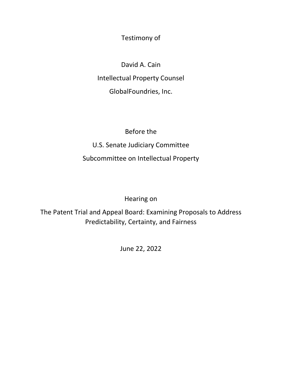Testimony of

David A. Cain Intellectual Property Counsel GlobalFoundries, Inc.

Before the U.S. Senate Judiciary Committee Subcommittee on Intellectual Property

Hearing on

The Patent Trial and Appeal Board: Examining Proposals to Address Predictability, Certainty, and Fairness

June 22, 2022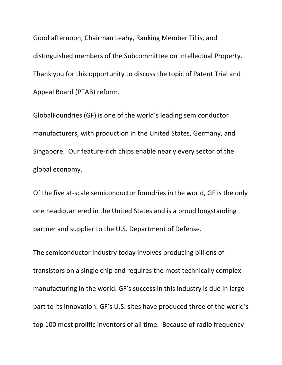Good afternoon, Chairman Leahy, Ranking Member Tillis, and distinguished members of the Subcommittee on Intellectual Property. Thank you for this opportunity to discuss the topic of Patent Trial and Appeal Board (PTAB) reform.

GlobalFoundries (GF) is one of the world's leading semiconductor manufacturers, with production in the United States, Germany, and Singapore. Our feature-rich chips enable nearly every sector of the global economy.

Of the five at-scale semiconductor foundries in the world, GF is the only one headquartered in the United States and is a proud longstanding partner and supplier to the U.S. Department of Defense.

The semiconductor industry today involves producing billions of transistors on a single chip and requires the most technically complex manufacturing in the world. GF's success in this industry is due in large part to its innovation. GF's U.S. sites have produced three of the world's top 100 most prolific inventors of all time. Because of radio frequency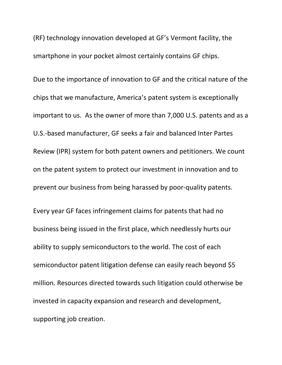(RF) technology innovation developed at GF's Vermont facility, the smartphone in your pocket almost certainly contains GF chips.

Due to the importance of innovation to GF and the critical nature of the chips that we manufacture, America's patent system is exceptionally important to us. As the owner of more than 7,000 U.S. patents and as a U.S.-based manufacturer, GF seeks a fair and balanced Inter Partes Review (IPR) system for both patent owners and petitioners. We count on the patent system to protect our investment in innovation and to prevent our business from being harassed by poor-quality patents.

Every year GF faces infringement claims for patents that had no business being issued in the first place, which needlessly hurts our ability to supply semiconductors to the world. The cost of each semiconductor patent litigation defense can easily reach beyond \$5 million. Resources directed towards such litigation could otherwise be invested in capacity expansion and research and development, supporting job creation.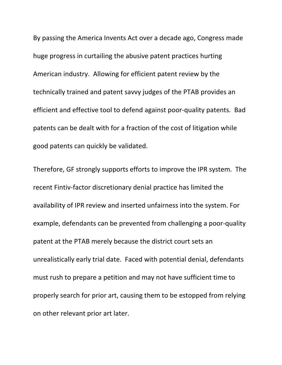By passing the America Invents Act over a decade ago, Congress made huge progress in curtailing the abusive patent practices hurting American industry. Allowing for efficient patent review by the technically trained and patent savvy judges of the PTAB provides an efficient and effective tool to defend against poor-quality patents. Bad patents can be dealt with for a fraction of the cost of litigation while good patents can quickly be validated.

Therefore, GF strongly supports efforts to improve the IPR system. The recent Fintiv-factor discretionary denial practice has limited the availability of IPR review and inserted unfairness into the system. For example, defendants can be prevented from challenging a poor-quality patent at the PTAB merely because the district court sets an unrealistically early trial date. Faced with potential denial, defendants must rush to prepare a petition and may not have sufficient time to properly search for prior art, causing them to be estopped from relying on other relevant prior art later.